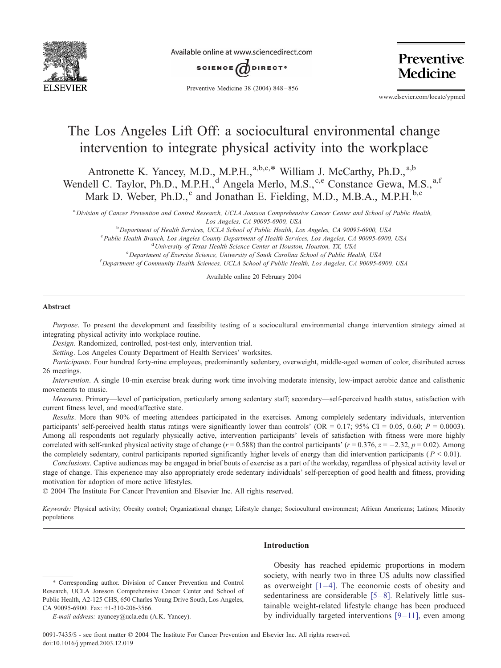

Available online at www.sciencedirect.com



Preventive Medicine 38 (2004) 848 – 856

Preventive Medicine

www.elsevier.com/locate/ypmed

# The Los Angeles Lift Off: a sociocultural environmental change intervention to integrate physical activity into the workplace

Antronette K. Yancey, M.D., M.P.H.,<sup>a,b,c,\*</sup> William J. McCarthy, Ph.D.,<sup>a,b</sup> Wendell C. Taylor, Ph.D., M.P.H.,<sup>d</sup> Angela Merlo, M.S.,<sup>c,e</sup> Constance Gewa, M.S.,<sup>a,f</sup> Mark D. Weber, Ph.D.,<sup>c</sup> and Jonathan E. Fielding, M.D., M.B.A., M.P.H.<sup>b,c</sup>

a Division of Cancer Prevention and Control Research, UCLA Jonsson Comprehensive Cancer Center and School of Public Health, Los Angeles, CA 90095-6900, USA<br><sup>b</sup> Department of Health Services, UCLA School of Public Health Le

<sup>b</sup> Department of Health Services, UCLA School of Public Health, Los Angeles, CA 90095-6900, USA<br><sup>C</sup> Public Health Pranch, Los Angeles County Department of Health Semises, Los Angeles, CA 90005-6000 <sup>c</sup> Public Health Branch, Los Angeles County Department of Health Services, Los Angeles, CA 90095-6900, USA <sup>d</sup> University of Texas Health Science Center at Houston, Houston, TX, USA <sup>e</sup> Department of Exercise Science, University of South Carolina School of Public Health, USA <sup>f</sup> Department of Community Health Sciences, UCLA School of Public Health, Los Angeles, CA 90095-6900, USA

Available online 20 February 2004

### Abstract

Purpose. To present the development and feasibility testing of a sociocultural environmental change intervention strategy aimed at integrating physical activity into workplace routine.

Design. Randomized, controlled, post-test only, intervention trial.

Setting. Los Angeles County Department of Health Services' worksites.

Participants. Four hundred forty-nine employees, predominantly sedentary, overweight, middle-aged women of color, distributed across 26 meetings.

Intervention. A single 10-min exercise break during work time involving moderate intensity, low-impact aerobic dance and calisthenic movements to music.

Measures. Primary—level of participation, particularly among sedentary staff; secondary—self-perceived health status, satisfaction with current fitness level, and mood/affective state.

Results. More than 90% of meeting attendees participated in the exercises. Among completely sedentary individuals, intervention participants' self-perceived health status ratings were significantly lower than controls' (OR = 0.17; 95% CI = 0.05, 0.60;  $P = 0.0003$ ). Among all respondents not regularly physically active, intervention participants' levels of satisfaction with fitness were more highly correlated with self-ranked physical activity stage of change ( $r = 0.588$ ) than the control participants' ( $r = 0.376$ ,  $z = -2.32$ ,  $p = 0.02$ ). Among the completely sedentary, control participants reported significantly higher levels of energy than did intervention participants ( $P < 0.01$ ).

Conclusions. Captive audiences may be engaged in brief bouts of exercise as a part of the workday, regardless of physical activity level or stage of change. This experience may also appropriately erode sedentary individuals' self-perception of good health and fitness, providing motivation for adoption of more active lifestyles.

© 2004 The Institute For Cancer Prevention and Elsevier Inc. All rights reserved.

Keywords: Physical activity; Obesity control; Organizational change; Lifestyle change; Sociocultural environment; African Americans; Latinos; Minority populations

# Introduction

## \* Corresponding author. Division of Cancer Prevention and Control Research, UCLA Jonsson Comprehensive Cancer Center and School of Public Health, A2-125 CHS, 650 Charles Young Drive South, Los Angeles, CA 90095-6900. Fax: +1-310-206-3566.

Obesity has reached epidemic proportions in modern society, with nearly two in three US adults now classified as overweight  $[1-4]$ . The economic costs of obesity and sedentariness are considerable  $[5-8]$ . Relatively little sustainable weight-related lifestyle change has been produced by individually targeted interventions  $[9-11]$ , even among

E-mail address: ayancey@ucla.edu (A.K. Yancey).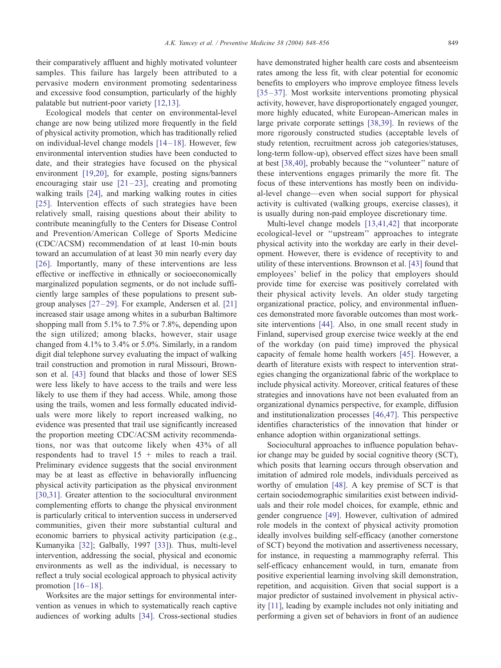their comparatively affluent and highly motivated volunteer samples. This failure has largely been attributed to a pervasive modern environment promoting sedentariness and excessive food consumption, particularly of the highly palatable but nutrient-poor variety [\[12,13\].](#page-7-0)

Ecological models that center on environmental-level change are now being utilized more frequently in the field of physical activity promotion, which has traditionally relied on individual-level change models  $[14-18]$ . However, few environmental intervention studies have been conducted to date, and their strategies have focused on the physical environment [\[19,20\],](#page-7-0) for example, posting signs/banners encouraging stair use  $[21-23]$ , creating and promoting walking trails [\[24\],](#page-7-0) and marking walking routes in cities [\[25\].](#page-7-0) Intervention effects of such strategies have been relatively small, raising questions about their ability to contribute meaningfully to the Centers for Disease Control and Prevention/American College of Sports Medicine (CDC/ACSM) recommendation of at least 10-min bouts toward an accumulation of at least 30 min nearly every day [\[26\].](#page-7-0) Importantly, many of these interventions are less effective or ineffective in ethnically or socioeconomically marginalized population segments, or do not include sufficiently large samples of these populations to present subgroup analyses  $[27-29]$ . For example, Andersen et al.  $[21]$ increased stair usage among whites in a suburban Baltimore shopping mall from 5.1% to 7.5% or 7.8%, depending upon the sign utilized; among blacks, however, stair usage changed from 4.1% to 3.4% or 5.0%. Similarly, in a random digit dial telephone survey evaluating the impact of walking trail construction and promotion in rural Missouri, Brownson et al. [\[43\]](#page-7-0) found that blacks and those of lower SES were less likely to have access to the trails and were less likely to use them if they had access. While, among those using the trails, women and less formally educated individuals were more likely to report increased walking, no evidence was presented that trail use significantly increased the proportion meeting CDC/ACSM activity recommendations, nor was that outcome likely when 43% of all respondents had to travel 15 + miles to reach a trail. Preliminary evidence suggests that the social environment may be at least as effective in behaviorally influencing physical activity participation as the physical environment [\[30,31\].](#page-7-0) Greater attention to the sociocultural environment complementing efforts to change the physical environment is particularly critical to intervention success in underserved communities, given their more substantial cultural and economic barriers to physical activity participation (e.g., Kumanyika [\[32\];](#page-7-0) Galbally, 1997 [\[33\]\)](#page-7-0). Thus, multi-level intervention, addressing the social, physical and economic environments as well as the individual, is necessary to reflect a truly social ecological approach to physical activity promotion  $[16 - 18]$ .

Worksites are the major settings for environmental intervention as venues in which to systematically reach captive audiences of working adults [\[34\].](#page-7-0) Cross-sectional studies have demonstrated higher health care costs and absenteeism rates among the less fit, with clear potential for economic benefits to employers who improve employee fitness levels [\[35 –37\].](#page-7-0) Most worksite interventions promoting physical activity, however, have disproportionately engaged younger, more highly educated, white European-American males in large private corporate settings [\[38,39\].](#page-7-0) In reviews of the more rigorously constructed studies (acceptable levels of study retention, recruitment across job categories/statuses, long-term follow-up), observed effect sizes have been small at best [\[38,40\],](#page-7-0) probably because the ''volunteer'' nature of these interventions engages primarily the more fit. The focus of these interventions has mostly been on individual-level change—even when social support for physical activity is cultivated (walking groups, exercise classes), it is usually during non-paid employee discretionary time.

Multi-level change models [\[13,41,42\]](#page-7-0) that incorporate ecological-level or ''upstream'' approaches to integrate physical activity into the workday are early in their development. However, there is evidence of receptivity to and utility of these interventions. Brownson et al. [\[43\]](#page-7-0) found that employees' belief in the policy that employers should provide time for exercise was positively correlated with their physical activity levels. An older study targeting organizational practice, policy, and environmental influences demonstrated more favorable outcomes than most worksite interventions [\[44\].](#page-7-0) Also, in one small recent study in Finland, supervised group exercise twice weekly at the end of the workday (on paid time) improved the physical capacity of female home health workers [\[45\].](#page-7-0) However, a dearth of literature exists with respect to intervention strategies changing the organizational fabric of the workplace to include physical activity. Moreover, critical features of these strategies and innovations have not been evaluated from an organizational dynamics perspective, for example, diffusion and institutionalization processes [\[46,47\].](#page-7-0) This perspective identifies characteristics of the innovation that hinder or enhance adoption within organizational settings.

Sociocultural approaches to influence population behavior change may be guided by social cognitive theory (SCT), which posits that learning occurs through observation and imitation of admired role models, individuals perceived as worthy of emulation [\[48\].](#page-7-0) A key premise of SCT is that certain sociodemographic similarities exist between individuals and their role model choices, for example, ethnic and gender congruence [\[49\].](#page-7-0) However, cultivation of admired role models in the context of physical activity promotion ideally involves building self-efficacy (another cornerstone of SCT) beyond the motivation and assertiveness necessary, for instance, in requesting a mammography referral. This self-efficacy enhancement would, in turn, emanate from positive experiential learning involving skill demonstration, repetition, and acquisition. Given that social support is a major predictor of sustained involvement in physical activity [\[11\],](#page-7-0) leading by example includes not only initiating and performing a given set of behaviors in front of an audience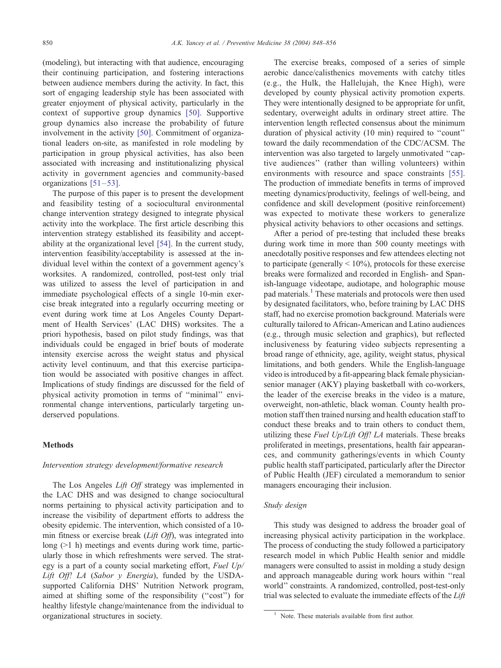(modeling), but interacting with that audience, encouraging their continuing participation, and fostering interactions between audience members during the activity. In fact, this sort of engaging leadership style has been associated with greater enjoyment of physical activity, particularly in the context of supportive group dynamics [\[50\].](#page-7-0) Supportive group dynamics also increase the probability of future involvement in the activity [\[50\].](#page-7-0) Commitment of organizational leaders on-site, as manifested in role modeling by participation in group physical activities, has also been associated with increasing and institutionalizing physical activity in government agencies and community-based organizations  $[51 - 53]$ .

The purpose of this paper is to present the development and feasibility testing of a sociocultural environmental change intervention strategy designed to integrate physical activity into the workplace. The first article describing this intervention strategy established its feasibility and acceptability at the organizational level [\[54\].](#page-7-0) In the current study, intervention feasibility/acceptability is assessed at the individual level within the context of a government agency's worksites. A randomized, controlled, post-test only trial was utilized to assess the level of participation in and immediate psychological effects of a single 10-min exercise break integrated into a regularly occurring meeting or event during work time at Los Angeles County Department of Health Services' (LAC DHS) worksites. The a priori hypothesis, based on pilot study findings, was that individuals could be engaged in brief bouts of moderate intensity exercise across the weight status and physical activity level continuum, and that this exercise participation would be associated with positive changes in affect. Implications of study findings are discussed for the field of physical activity promotion in terms of ''minimal'' environmental change interventions, particularly targeting underserved populations.

# Methods

# Intervention strategy development/formative research

The Los Angeles Lift Off strategy was implemented in the LAC DHS and was designed to change sociocultural norms pertaining to physical activity participation and to increase the visibility of department efforts to address the obesity epidemic. The intervention, which consisted of a 10 min fitness or exercise break (Lift Off), was integrated into long (>1 h) meetings and events during work time, particularly those in which refreshments were served. The strategy is a part of a county social marketing effort, Fuel Up/ Lift Off! LA (Sabor y Energia), funded by the USDAsupported California DHS' Nutrition Network program, aimed at shifting some of the responsibility (''cost'') for healthy lifestyle change/maintenance from the individual to organizational structures in society.

The exercise breaks, composed of a series of simple aerobic dance/calisthenics movements with catchy titles (e.g., the Hulk, the Hallelujah, the Knee High), were developed by county physical activity promotion experts. They were intentionally designed to be appropriate for unfit, sedentary, overweight adults in ordinary street attire. The intervention length reflected consensus about the minimum duration of physical activity (10 min) required to ''count'' toward the daily recommendation of the CDC/ACSM. The intervention was also targeted to largely unmotivated ''captive audiences'' (rather than willing volunteers) within environments with resource and space constraints [\[55\].](#page-7-0) The production of immediate benefits in terms of improved meeting dynamics/productivity, feelings of well-being, and confidence and skill development (positive reinforcement) was expected to motivate these workers to generalize physical activity behaviors to other occasions and settings.

After a period of pre-testing that included these breaks during work time in more than 500 county meetings with anecdotally positive responses and few attendees electing not to participate (generally  $< 10\%$ ), protocols for these exercise breaks were formalized and recorded in English- and Spanish-language videotape, audiotape, and holographic mouse pad materials.<sup>1</sup> These materials and protocols were then used by designated facilitators, who, before training by LAC DHS staff, had no exercise promotion background. Materials were culturally tailored to African-American and Latino audiences (e.g., through music selection and graphics), but reflected inclusiveness by featuring video subjects representing a broad range of ethnicity, age, agility, weight status, physical limitations, and both genders. While the English-language video is introduced by a fit-appearing black female physiciansenior manager (AKY) playing basketball with co-workers, the leader of the exercise breaks in the video is a mature, overweight, non-athletic, black woman. County health promotion staff then trained nursing and health education staff to conduct these breaks and to train others to conduct them, utilizing these Fuel Up/Lift Off! LA materials. These breaks proliferated in meetings, presentations, health fair appearances, and community gatherings/events in which County public health staff participated, particularly after the Director of Public Health (JEF) circulated a memorandum to senior managers encouraging their inclusion.

# Study design

This study was designed to address the broader goal of increasing physical activity participation in the workplace. The process of conducting the study followed a participatory research model in which Public Health senior and middle managers were consulted to assist in molding a study design and approach manageable during work hours within ''real world'' constraints. A randomized, controlled, post-test-only trial was selected to evaluate the immediate effects of the Lift

<sup>&</sup>lt;sup>1</sup> Note. These materials available from first author.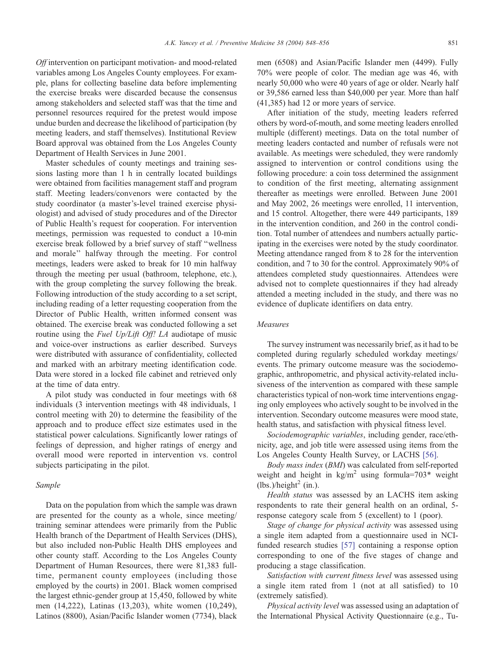Off intervention on participant motivation- and mood-related variables among Los Angeles County employees. For example, plans for collecting baseline data before implementing the exercise breaks were discarded because the consensus among stakeholders and selected staff was that the time and personnel resources required for the pretest would impose undue burden and decrease the likelihood of participation (by meeting leaders, and staff themselves). Institutional Review Board approval was obtained from the Los Angeles County Department of Health Services in June 2001.

Master schedules of county meetings and training sessions lasting more than 1 h in centrally located buildings were obtained from facilities management staff and program staff. Meeting leaders/convenors were contacted by the study coordinator (a master's-level trained exercise physiologist) and advised of study procedures and of the Director of Public Health's request for cooperation. For intervention meetings, permission was requested to conduct a 10-min exercise break followed by a brief survey of staff ''wellness and morale'' halfway through the meeting. For control meetings, leaders were asked to break for 10 min halfway through the meeting per usual (bathroom, telephone, etc.), with the group completing the survey following the break. Following introduction of the study according to a set script, including reading of a letter requesting cooperation from the Director of Public Health, written informed consent was obtained. The exercise break was conducted following a set routine using the *Fuel Up/Lift Off! LA* audiotape of music and voice-over instructions as earlier described. Surveys were distributed with assurance of confidentiality, collected and marked with an arbitrary meeting identification code. Data were stored in a locked file cabinet and retrieved only at the time of data entry.

A pilot study was conducted in four meetings with 68 individuals (3 intervention meetings with 48 individuals, 1 control meeting with 20) to determine the feasibility of the approach and to produce effect size estimates used in the statistical power calculations. Significantly lower ratings of feelings of depression, and higher ratings of energy and overall mood were reported in intervention vs. control subjects participating in the pilot.

## Sample

Data on the population from which the sample was drawn are presented for the county as a whole, since meeting/ training seminar attendees were primarily from the Public Health branch of the Department of Health Services (DHS), but also included non-Public Health DHS employees and other county staff. According to the Los Angeles County Department of Human Resources, there were 81,383 fulltime, permanent county employees (including those employed by the courts) in 2001. Black women comprised the largest ethnic-gender group at 15,450, followed by white men (14,222), Latinas (13,203), white women (10,249), Latinos (8800), Asian/Pacific Islander women (7734), black men (6508) and Asian/Pacific Islander men (4499). Fully 70% were people of color. The median age was 46, with nearly 50,000 who were 40 years of age or older. Nearly half or 39,586 earned less than \$40,000 per year. More than half (41,385) had 12 or more years of service.

After initiation of the study, meeting leaders referred others by word-of-mouth, and some meeting leaders enrolled multiple (different) meetings. Data on the total number of meeting leaders contacted and number of refusals were not available. As meetings were scheduled, they were randomly assigned to intervention or control conditions using the following procedure: a coin toss determined the assignment to condition of the first meeting, alternating assignment thereafter as meetings were enrolled. Between June 2001 and May 2002, 26 meetings were enrolled, 11 intervention, and 15 control. Altogether, there were 449 participants, 189 in the intervention condition, and 260 in the control condition. Total number of attendees and numbers actually participating in the exercises were noted by the study coordinator. Meeting attendance ranged from 8 to 28 for the intervention condition, and 7 to 30 for the control. Approximately 90% of attendees completed study questionnaires. Attendees were advised not to complete questionnaires if they had already attended a meeting included in the study, and there was no evidence of duplicate identifiers on data entry.

## Measures

The survey instrument was necessarily brief, as it had to be completed during regularly scheduled workday meetings/ events. The primary outcome measure was the sociodemographic, anthropometric, and physical activity-related inclusiveness of the intervention as compared with these sample characteristics typical of non-work time interventions engaging only employees who actively sought to be involved in the intervention. Secondary outcome measures were mood state, health status, and satisfaction with physical fitness level.

Sociodemographic variables, including gender, race/ethnicity, age, and job title were assessed using items from the Los Angeles County Health Survey, or LACHS [\[56\].](#page-8-0)

Body mass index (BMI) was calculated from self-reported weight and height in  $kg/m^2$  using formula=703\* weight  $(lbs.)/height<sup>2</sup> (in.).$ 

Health status was assessed by an LACHS item asking respondents to rate their general health on an ordinal, 5 response category scale from 5 (excellent) to 1 (poor).

Stage of change for physical activity was assessed using a single item adapted from a questionnaire used in NCIfunded research studies [\[57\]](#page-8-0) containing a response option corresponding to one of the five stages of change and producing a stage classification.

Satisfaction with current fitness level was assessed using a single item rated from 1 (not at all satisfied) to 10 (extremely satisfied).

Physical activity level was assessed using an adaptation of the International Physical Activity Questionnaire (e.g., Tu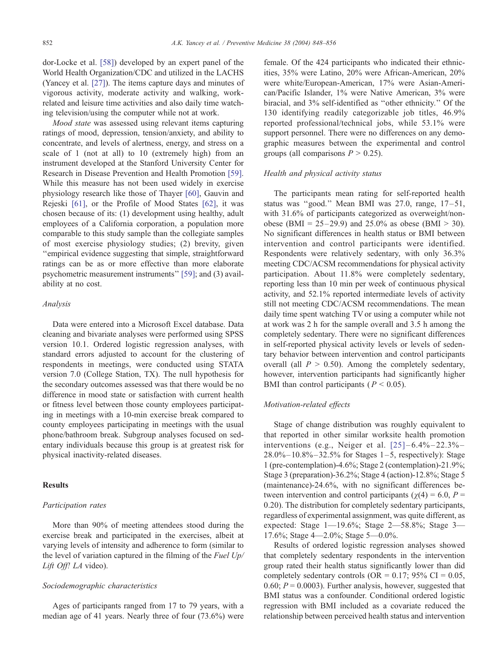dor-Locke et al. [\[58\]\)](#page-8-0) developed by an expert panel of the World Health Organization/CDC and utilized in the LACHS (Yancey et al. [\[27\]\)](#page-7-0). The items capture days and minutes of vigorous activity, moderate activity and walking, workrelated and leisure time activities and also daily time watching television/using the computer while not at work.

Mood state was assessed using relevant items capturing ratings of mood, depression, tension/anxiety, and ability to concentrate, and levels of alertness, energy, and stress on a scale of 1 (not at all) to 10 (extremely high) from an instrument developed at the Stanford University Center for Research in Disease Prevention and Health Promotion [\[59\].](#page-8-0) While this measure has not been used widely in exercise physiology research like those of Thayer [\[60\],](#page-8-0) Gauvin and Rejeski [\[61\],](#page-8-0) or the Profile of Mood States [\[62\],](#page-8-0) it was chosen because of its: (1) development using healthy, adult employees of a California corporation, a population more comparable to this study sample than the collegiate samples of most exercise physiology studies; (2) brevity, given ''empirical evidence suggesting that simple, straightforward ratings can be as or more effective than more elaborate psychometric measurement instruments'' [\[59\];](#page-8-0) and (3) availability at no cost.

# Analysis

Data were entered into a Microsoft Excel database. Data cleaning and bivariate analyses were performed using SPSS version 10.1. Ordered logistic regression analyses, with standard errors adjusted to account for the clustering of respondents in meetings, were conducted using STATA version 7.0 (College Station, TX). The null hypothesis for the secondary outcomes assessed was that there would be no difference in mood state or satisfaction with current health or fitness level between those county employees participating in meetings with a 10-min exercise break compared to county employees participating in meetings with the usual phone/bathroom break. Subgroup analyses focused on sedentary individuals because this group is at greatest risk for physical inactivity-related diseases.

#### **Results**

#### Participation rates

More than 90% of meeting attendees stood during the exercise break and participated in the exercises, albeit at varying levels of intensity and adherence to form (similar to the level of variation captured in the filming of the Fuel  $Up/$ Lift Off! LA video).

# Sociodemographic characteristics

Ages of participants ranged from 17 to 79 years, with a median age of 41 years. Nearly three of four (73.6%) were

female. Of the 424 participants who indicated their ethnicities, 35% were Latino, 20% were African-American, 20% were white/European-American, 17% were Asian-American/Pacific Islander, 1% were Native American, 3% were biracial, and 3% self-identified as ''other ethnicity.'' Of the 130 identifying readily categorizable job titles, 46.9% reported professional/technical jobs, while 53.1% were support personnel. There were no differences on any demographic measures between the experimental and control groups (all comparisons  $P > 0.25$ ).

## Health and physical activity status

The participants mean rating for self-reported health status was "good." Mean BMI was  $27.0$ , range,  $17-51$ , with 31.6% of participants categorized as overweight/nonobese (BMI =  $25-29.9$ ) and  $25.0\%$  as obese (BMI > 30). No significant differences in health status or BMI between intervention and control participants were identified. Respondents were relatively sedentary, with only 36.3% meeting CDC/ACSM recommendations for physical activity participation. About 11.8% were completely sedentary, reporting less than 10 min per week of continuous physical activity, and 52.1% reported intermediate levels of activity still not meeting CDC/ACSM recommendations. The mean daily time spent watching TV or using a computer while not at work was 2 h for the sample overall and 3.5 h among the completely sedentary. There were no significant differences in self-reported physical activity levels or levels of sedentary behavior between intervention and control participants overall (all  $P > 0.50$ ). Among the completely sedentary, however, intervention participants had significantly higher BMI than control participants ( $P < 0.05$ ).

# Motivation-related effects

Stage of change distribution was roughly equivalent to that reported in other similar worksite health promotion interventions (e.g., Neiger et al.  $[25]$ –6.4%–22.3%–  $28.0\% - 10.8\% - 32.5\%$  for Stages 1-5, respectively): Stage 1 (pre-contemplation)-4.6%; Stage 2 (contemplation)-21.9%; Stage 3 (preparation)-36.2%; Stage 4 (action)-12.8%; Stage 5 (maintenance)-24.6%, with no significant differences between intervention and control participants ( $\gamma$ (4) = 6.0, P = 0.20). The distribution for completely sedentary participants, regardless of experimental assignment, was quite different, as expected: Stage 1—19.6%; Stage 2—58.8%; Stage 3— 17.6%; Stage 4—2.0%; Stage 5—0.0%.

Results of ordered logistic regression analyses showed that completely sedentary respondents in the intervention group rated their health status significantly lower than did completely sedentary controls (OR =  $0.17$ ; 95% CI =  $0.05$ , 0.60;  $P = 0.0003$ ). Further analysis, however, suggested that BMI status was a confounder. Conditional ordered logistic regression with BMI included as a covariate reduced the relationship between perceived health status and intervention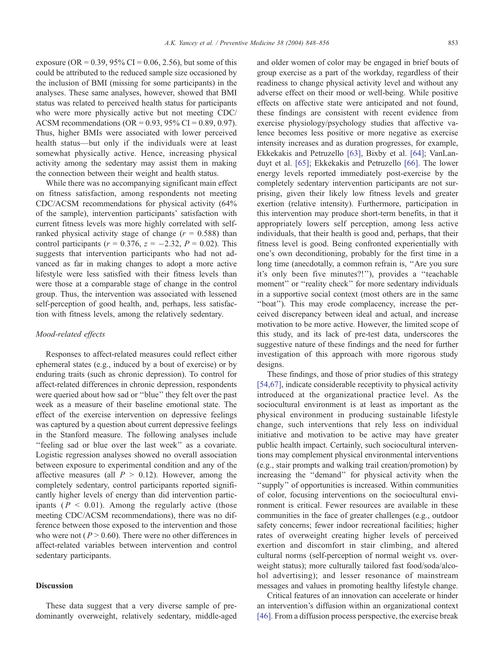exposure (OR =  $0.39, 95\%$  CI = 0.06, 2.56), but some of this could be attributed to the reduced sample size occasioned by the inclusion of BMI (missing for some participants) in the analyses. These same analyses, however, showed that BMI status was related to perceived health status for participants who were more physically active but not meeting CDC/ ACSM recommendations (OR =  $0.93$ ,  $95\%$  CI = 0.89, 0.97). Thus, higher BMIs were associated with lower perceived health status—but only if the individuals were at least somewhat physically active. Hence, increasing physical activity among the sedentary may assist them in making the connection between their weight and health status.

While there was no accompanying significant main effect on fitness satisfaction, among respondents not meeting CDC/ACSM recommendations for physical activity (64% of the sample), intervention participants' satisfaction with current fitness levels was more highly correlated with selfranked physical activity stage of change  $(r = 0.588)$  than control participants ( $r = 0.376$ ,  $z = -2.32$ ,  $P = 0.02$ ). This suggests that intervention participants who had not advanced as far in making changes to adopt a more active lifestyle were less satisfied with their fitness levels than were those at a comparable stage of change in the control group. Thus, the intervention was associated with lessened self-perception of good health, and, perhaps, less satisfaction with fitness levels, among the relatively sedentary.

#### Mood-related effects

Responses to affect-related measures could reflect either ephemeral states (e.g., induced by a bout of exercise) or by enduring traits (such as chronic depression). To control for affect-related differences in chronic depression, respondents were queried about how sad or ''blue'' they felt over the past week as a measure of their baseline emotional state. The effect of the exercise intervention on depressive feelings was captured by a question about current depressive feelings in the Stanford measure. The following analyses include ''feeling sad or blue over the last week'' as a covariate. Logistic regression analyses showed no overall association between exposure to experimental condition and any of the affective measures (all  $P > 0.12$ ). However, among the completely sedentary, control participants reported significantly higher levels of energy than did intervention participants ( $P < 0.01$ ). Among the regularly active (those meeting CDC/ACSM recommendations), there was no difference between those exposed to the intervention and those who were not ( $P > 0.60$ ). There were no other differences in affect-related variables between intervention and control sedentary participants.

# Discussion

These data suggest that a very diverse sample of predominantly overweight, relatively sedentary, middle-aged

and older women of color may be engaged in brief bouts of group exercise as a part of the workday, regardless of their readiness to change physical activity level and without any adverse effect on their mood or well-being. While positive effects on affective state were anticipated and not found, these findings are consistent with recent evidence from exercise physiology/psychology studies that affective valence becomes less positive or more negative as exercise intensity increases and as duration progresses, for example, Ekkekakis and Petruzello [\[63\],](#page-8-0) Bixby et al. [\[64\];](#page-8-0) VanLanduyt et al. [\[65\];](#page-8-0) Ekkekakis and Petruzello [\[66\].](#page-8-0) The lower energy levels reported immediately post-exercise by the completely sedentary intervention participants are not surprising, given their likely low fitness levels and greater exertion (relative intensity). Furthermore, participation in this intervention may produce short-term benefits, in that it appropriately lowers self perception, among less active individuals, that their health is good and, perhaps, that their fitness level is good. Being confronted experientially with one's own deconditioning, probably for the first time in a long time (anecdotally, a common refrain is, ''Are you sure it's only been five minutes?!''), provides a ''teachable moment" or "reality check" for more sedentary individuals in a supportive social context (most others are in the same ''boat''). This may erode complacency, increase the perceived discrepancy between ideal and actual, and increase motivation to be more active. However, the limited scope of this study, and its lack of pre-test data, underscores the suggestive nature of these findings and the need for further investigation of this approach with more rigorous study designs.

These findings, and those of prior studies of this strategy [\[54,67\],](#page-7-0) indicate considerable receptivity to physical activity introduced at the organizational practice level. As the sociocultural environment is at least as important as the physical environment in producing sustainable lifestyle change, such interventions that rely less on individual initiative and motivation to be active may have greater public health impact. Certainly, such sociocultural interventions may complement physical environmental interventions (e.g., stair prompts and walking trail creation/promotion) by increasing the ''demand'' for physical activity when the ''supply'' of opportunities is increased. Within communities of color, focusing interventions on the sociocultural environment is critical. Fewer resources are available in these communities in the face of greater challenges (e.g., outdoor safety concerns; fewer indoor recreational facilities; higher rates of overweight creating higher levels of perceived exertion and discomfort in stair climbing, and altered cultural norms (self-perception of normal weight vs. overweight status); more culturally tailored fast food/soda/alcohol advertising); and lesser resonance of mainstream messages and values in promoting healthy lifestyle change.

Critical features of an innovation can accelerate or hinder an intervention's diffusion within an organizational context [\[46\].](#page-7-0) From a diffusion process perspective, the exercise break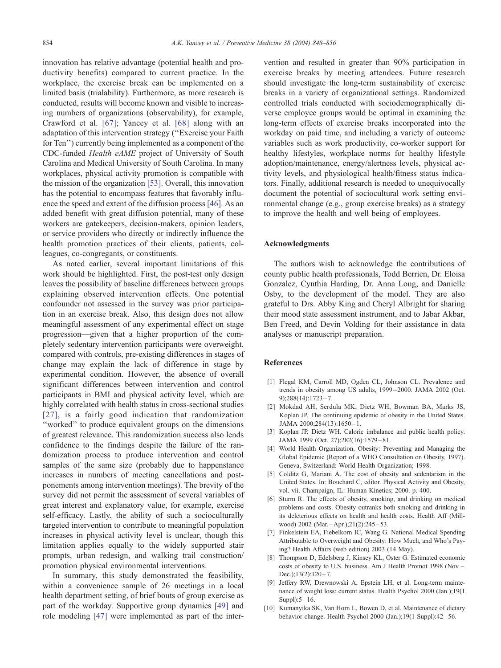<span id="page-6-0"></span>innovation has relative advantage (potential health and productivity benefits) compared to current practice. In the workplace, the exercise break can be implemented on a limited basis (trialability). Furthermore, as more research is conducted, results will become known and visible to increasing numbers of organizations (observability), for example, Crawford et al. [\[67\];](#page-8-0) Yancey et al. [\[68\]](#page-8-0) along with an adaptation of this intervention strategy (''Exercise your Faith for Ten'') currently being implemented as a component of the CDC-funded Health eAME project of University of South Carolina and Medical University of South Carolina. In many workplaces, physical activity promotion is compatible with the mission of the organization [\[53\].](#page-7-0) Overall, this innovation has the potential to encompass features that favorably influence the speed and extent of the diffusion process [\[46\].](#page-7-0) As an added benefit with great diffusion potential, many of these workers are gatekeepers, decision-makers, opinion leaders, or service providers who directly or indirectly influence the health promotion practices of their clients, patients, colleagues, co-congregants, or constituents.

As noted earlier, several important limitations of this work should be highlighted. First, the post-test only design leaves the possibility of baseline differences between groups explaining observed intervention effects. One potential confounder not assessed in the survey was prior participation in an exercise break. Also, this design does not allow meaningful assessment of any experimental effect on stage progression—given that a higher proportion of the completely sedentary intervention participants were overweight, compared with controls, pre-existing differences in stages of change may explain the lack of difference in stage by experimental condition. However, the absence of overall significant differences between intervention and control participants in BMI and physical activity level, which are highly correlated with health status in cross-sectional studies [\[27\],](#page-7-0) is a fairly good indication that randomization ''worked'' to produce equivalent groups on the dimensions of greatest relevance. This randomization success also lends confidence to the findings despite the failure of the randomization process to produce intervention and control samples of the same size (probably due to happenstance increases in numbers of meeting cancellations and postponements among intervention meetings). The brevity of the survey did not permit the assessment of several variables of great interest and explanatory value, for example, exercise self-efficacy. Lastly, the ability of such a socioculturally targeted intervention to contribute to meaningful population increases in physical activity level is unclear, though this limitation applies equally to the widely supported stair prompts, urban redesign, and walking trail construction/ promotion physical environmental interventions.

In summary, this study demonstrated the feasibility, within a convenience sample of 26 meetings in a local health department setting, of brief bouts of group exercise as part of the workday. Supportive group dynamics [\[49\]](#page-7-0) and role modeling [\[47\]](#page-7-0) were implemented as part of the intervention and resulted in greater than 90% participation in exercise breaks by meeting attendees. Future research should investigate the long-term sustainability of exercise breaks in a variety of organizational settings. Randomized controlled trials conducted with sociodemographically diverse employee groups would be optimal in examining the long-term effects of exercise breaks incorporated into the workday on paid time, and including a variety of outcome variables such as work productivity, co-worker support for healthy lifestyles, workplace norms for healthy lifestyle adoption/maintenance, energy/alertness levels, physical activity levels, and physiological health/fitness status indicators. Finally, additional research is needed to unequivocally document the potential of sociocultural work setting environmental change (e.g., group exercise breaks) as a strategy to improve the health and well being of employees.

## Acknowledgments

The authors wish to acknowledge the contributions of county public health professionals, Todd Berrien, Dr. Eloisa Gonzalez, Cynthia Harding, Dr. Anna Long, and Danielle Osby, to the development of the model. They are also grateful to Drs. Abby King and Cheryl Albright for sharing their mood state assessment instrument, and to Jabar Akbar, Ben Freed, and Devin Volding for their assistance in data analyses or manuscript preparation.

# References

- [1] Flegal KM, Carroll MD, Ogden CL, Johnson CL. Prevalence and trends in obesity among US adults, 1999 – 2000. JAMA 2002 (Oct. 9);288(14):1723 – 7.
- [2] Mokdad AH, Serdula MK, Dietz WH, Bowman BA, Marks JS, Koplan JP. The continuing epidemic of obesity in the United States. JAMA 2000:284(13):1650-1.
- [3] Koplan JP, Dietz WH. Caloric imbalance and public health policy. JAMA 1999 (Oct. 27);282(16):1579 – 81.
- [4] World Health Organization. Obesity: Preventing and Managing the Global Epidemic (Report of a WHO Consultation on Obesity, 1997). Geneva, Switzerland: World Health Organization; 1998.
- [5] Colditz G, Mariani A. The cost of obesity and sedentarism in the United States. In: Bouchard C, editor. Physical Activity and Obesity, vol. vii. Champaign, IL: Human Kinetics; 2000. p. 400.
- [6] Sturm R. The effects of obesity, smoking, and drinking on medical problems and costs. Obesity outranks both smoking and drinking in its deleterious effects on health and health costs. Health Aff (Millwood) 2002 (Mar. - Apr.);21(2):245 - 53.
- [7] Finkelstein EA, Fiebelkorn IC, Wang G. National Medical Spending Attributable to Overweight and Obesity: How Much, and Who's Paying? Health Affairs (web edition) 2003 (14 May).
- [8] Thompson D, Edelsberg J, Kinsey KL, Oster G. Estimated economic costs of obesity to U.S. business. Am J Health Promot 1998 (Nov. – Dec.); $13(2):120-7$ .
- [9] Jeffery RW, Drewnowski A, Epstein LH, et al. Long-term maintenance of weight loss: current status. Health Psychol 2000 (Jan.);19(1 Suppl $\left| \cdot \right|$ :5 – 16.
- [10] Kumanyika SK, Van Horn L, Bowen D, et al. Maintenance of dietary behavior change. Health Psychol 2000 (Jan.);19(1 Suppl):42 – 56.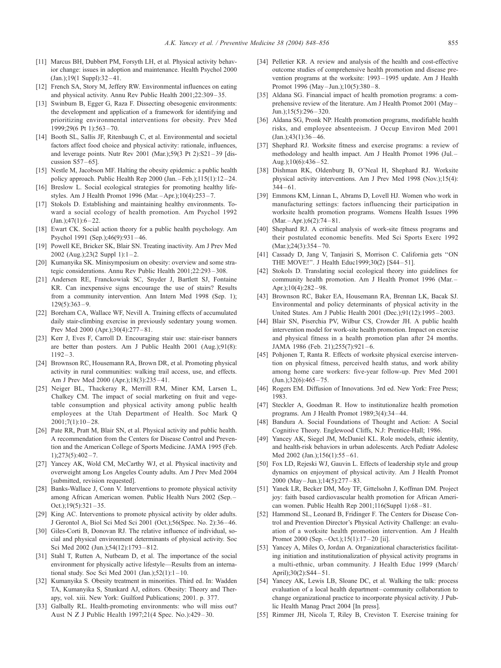- <span id="page-7-0"></span>[11] Marcus BH, Dubbert PM, Forsyth LH, et al. Physical activity behavior change: issues in adoption and maintenance. Health Psychol 2000 (Jan.);19(1 Suppl):32 – 41.
- [12] French SA, Story M, Jeffery RW. Environmental influences on eating and physical activity. Annu Rev Public Health 2001;22:309 – 35.
- [13] Swinburn B, Egger G, Raza F. Dissecting obesogenic environments: the development and application of a framework for identifying and prioritizing environmental interventions for obesity. Prev Med 1999;29(6 Pt 1):563 – 70.
- [14] Booth SL, Sallis JF, Ritenbaugh C, et al. Environmental and societal factors affect food choice and physical activity: rationale, influences, and leverage points. Nutr Rev 2001 (Mar.); 59(3 Pt 2):  $S21-39$  [discussion  $S57-65$ ].
- [15] Nestle M, Jacobson MF. Halting the obesity epidemic: a public health policy approach. Public Health Rep 2000 (Jan. – Feb.);115(1):12 – 24.
- [16] Breslow L. Social ecological strategies for promoting healthy lifestyles. Am J Health Promot 1996 (Mar. –Apr.);10(4):253 – 7.
- [17] Stokols D. Establishing and maintaining healthy environments. Toward a social ecology of health promotion. Am Psychol 1992  $(Lan \; 1.47(1) \cdot 6 - 22)$
- [18] Ewart CK. Social action theory for a public health psychology. Am Psychol 1991 (Sep.);46(9):931 – 46.
- [19] Powell KE, Bricker SK, Blair SN. Treating inactivity. Am J Prev Med 2002 (Aug.);23(2 Suppl 1):1-2.
- [20] Kumanyika SK. Minisymposium on obesity: overview and some strategic considerations. Annu Rev Public Health 2001;22:293 – 308.
- [21] Andersen RE, Franckowiak SC, Snyder J, Bartlett SJ, Fontaine KR. Can inexpensive signs encourage the use of stairs? Results from a community intervention. Ann Intern Med 1998 (Sep. 1);  $129(5):363 - 9.$
- [22] Boreham CA, Wallace WF, Nevill A. Training effects of accumulated daily stair-climbing exercise in previously sedentary young women. Prev Med 2000 (Apr.);30(4):277 – 81.
- [23] Kerr J, Eves F, Carroll D. Encouraging stair use: stair-riser banners are better than posters. Am J Public Health 2001 (Aug.);91(8):  $1192 - 3$
- [24] Brownson RC, Housemann RA, Brown DR, et al. Promoting physical activity in rural communities: walking trail access, use, and effects. Am J Prev Med 2000 (Apr.);18(3):235 – 41.
- [25] Neiger BL, Thackeray R, Merrill RM, Miner KM, Larsen L, Chalkey CM. The impact of social marketing on fruit and vegetable consumption and physical activity among public health employees at the Utah Department of Health. Soc Mark Q  $2001:7(1):10-28.$
- [26] Pate RR, Pratt M, Blair SN, et al. Physical activity and public health. A recommendation from the Centers for Disease Control and Prevention and the American College of Sports Medicine. JAMA 1995 (Feb.  $1);273(5):402-7.$
- [27] Yancey AK, Wold CM, McCarthy WJ, et al. Physical inactivity and overweight among Los Angeles County adults. Am J Prev Med 2004 [submitted, revision requested].
- [28] Banks-Wallace J, Conn V. Interventions to promote physical activity among African American women. Public Health Nurs 2002 (Sep. – Oct.); $19(5):321-35$ .
- [29] King AC. Interventions to promote physical activity by older adults. J Gerontol A, Biol Sci Med Sci 2001 (Oct.);56(Spec. No. 2):36 – 46.
- [30] Giles-Corti B, Donovan RJ. The relative influence of individual, social and physical environment determinants of physical activity. Soc Sci Med 2002 (Jun.);54(12):1793-812.
- [31] Stahl T, Rutten A, Nutbeam D, et al. The importance of the social environment for physically active lifestyle—Results from an international study. Soc Sci Med 2001 (Jan.); $52(1):1-10$ .
- [32] Kumanyika S. Obesity treatment in minorities. Third ed. In: Wadden TA, Kumanyika S, Stunkard AJ, editors. Obesity: Theory and Therapy, vol. xiii. New York: Guilford Publications; 2001. p. 377.
- [33] Galbally RL. Health-promoting environments: who will miss out? Aust N Z J Public Health 1997;21(4 Spec. No.):429 – 30.
- [34] Pelletier KR. A review and analysis of the health and cost-effective outcome studies of comprehensive health promotion and disease prevention programs at the worksite: 1993 – 1995 update. Am J Health Promot 1996 (May-Jun.);10(5):380-8.
- [35] Aldana SG. Financial impact of health promotion programs: a comprehensive review of the literature. Am J Health Promot 2001 (May – Jun.): $15(5)$ :296 – 320.
- [36] Aldana SG, Pronk NP. Health promotion programs, modifiable health risks, and employee absenteeism. J Occup Environ Med 2001 (Jan.);43(1):36 – 46.
- [37] Shephard RJ. Worksite fitness and exercise programs: a review of methodology and health impact. Am J Health Promot 1996 (Jul. – Aug.); $10(6):436-52$ .
- [38] Dishman RK, Oldenburg B, O'Neal H, Shephard RJ. Worksite physical activity interventions. Am J Prev Med 1998 (Nov.);15(4):  $344 - 61$ .
- [39] Emmons KM, Linnan L, Abrams D, Lovell HJ. Women who work in manufacturing settings: factors influencing their participation in worksite health promotion programs. Womens Health Issues 1996  $(Mar. - Apr.); 6(2): 74 - 81.$
- [40] Shephard RJ. A critical analysis of work-site fitness programs and their postulated economic benefits. Med Sci Sports Exerc 1992 (Mar.);24(3):354 - 70.
- [41] Cassady D, Jang V, Tanjasiri S, Morrison C. California gets ''ON THE MOVE!''. J Health Educ1999;30(2) [S44 – 51].
- [42] Stokols D. Translating social ecological theory into guidelines for community health promotion. Am J Health Promot 1996 (Mar. – Apr.): $10(4)$ : $282 - 98$ .
- [43] Brownson RC, Baker EA, Housemann RA, Brennan LK, Bacak SJ. Environmental and policy determinants of physical activity in the United States. Am J Public Health 2001 (Dec.);91(12):1995 – 2003.
- [44] Blair SN, Piserchia PV, Wilbur CS, Crowder JH. A public health intervention model for work-site health promotion. Impact on exercise and physical fitness in a health promotion plan after 24 months. JAMA 1986 (Feb. 21);255(7):921-6.
- [45] Pohjonen T, Ranta R. Effects of worksite physical exercise intervention on physical fitness, perceived health status, and work ability among home care workers: five-year follow-up. Prev Med 2001  $(Jun.);32(6):465 - 75.$
- [46] Rogers EM. Diffusion of Innovations. 3rd ed. New York: Free Press; 1983.
- [47] Steckler A, Goodman R. How to institutionalize health promotion programs. Am J Health Promot 1989;3(4):34 – 44.
- [48] Bandura A. Social Foundations of Thought and Action: A Social Cognitive Theory. Englewood Cliffs, N.J: Prentice-Hall; 1986.
- [49] Yancey AK, Siegel JM, McDaniel KL. Role models, ethnic identity, and health-risk behaviors in urban adolescents. Arch Pediatr Adolesc Med 2002 (Jan.);156(1):55 - 61.
- [50] Fox LD, Rejeski WJ, Gauvin L. Effects of leadership style and group dynamics on enjoyment of physical activity. Am J Health Promot 2000 (May – Jun.);14(5):277 – 83.
- [51] Yanek LR, Becker DM, Moy TF, Gittelsohn J, Koffman DM. Project joy: faith based cardiovascular health promotion for African American women. Public Health Rep 2001;116(Suppl 1):68 – 81.
- [52] Hammond SL, Leonard B, Fridinger F. The Centers for Disease Control and Prevention Director's Physical Activity Challenge: an evaluation of a worksite health promotion intervention. Am J Health Promot 2000 (Sep. – Oct.);15(1):17 – 20 [ii].
- [53] Yancey A, Miles O, Jordan A. Organizational characteristics facilitating initiation and institutionalization of physical activity programs in a multi-ethnic, urban community. J Health Educ 1999 (March/ April):30(2):S44-51.
- [54] Yancey AK, Lewis LB, Sloane DC, et al. Walking the talk: process evaluation of a local health department – community collaboration to change organizational practice to incorporate physical activity. J Public Health Manag Pract 2004 [In press].
- [55] Rimmer JH, Nicola T, Riley B, Creviston T. Exercise training for